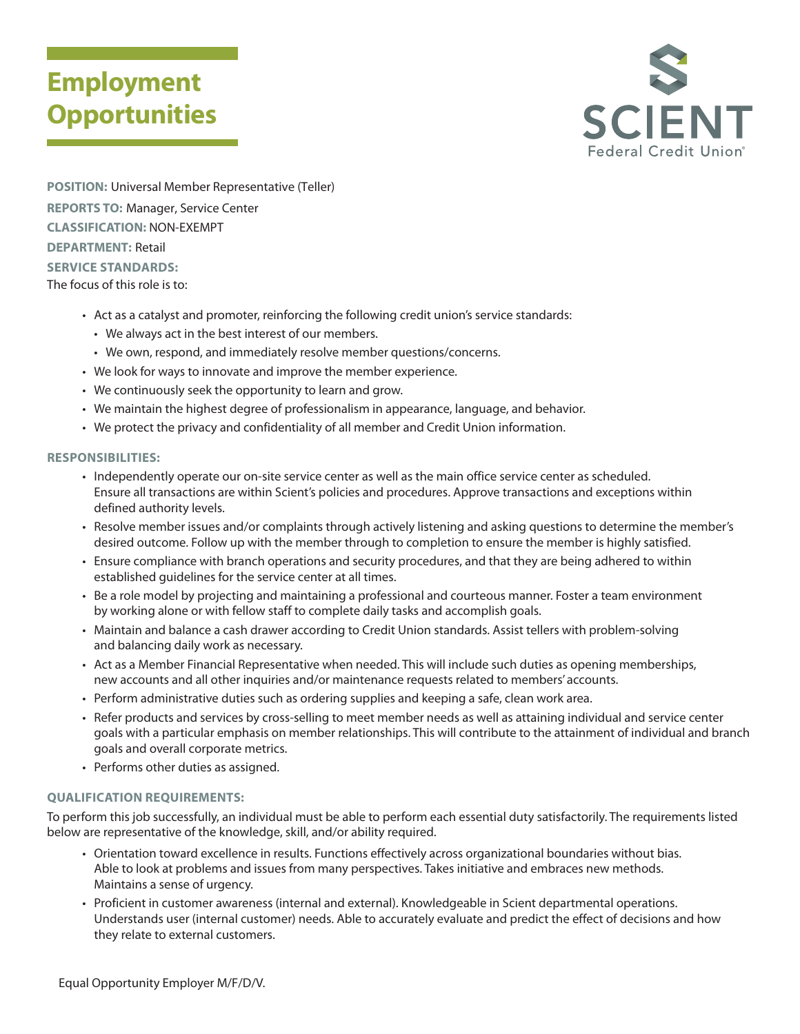## **Employment Opportunities**



**POSITION:** Universal Member Representative (Teller) **REPORTS TO:** Manager, Service Center **CLASSIFICATION:** NON-EXEMPT **DEPARTMENT:** Retail **SERVICE STANDARDS:** 

The focus of this role is to:

- Act as a catalyst and promoter, reinforcing the following credit union's service standards:
	- We always act in the best interest of our members.
	- We own, respond, and immediately resolve member questions/concerns.
- We look for ways to innovate and improve the member experience.
- We continuously seek the opportunity to learn and grow.
- We maintain the highest degree of professionalism in appearance, language, and behavior.
- We protect the privacy and confidentiality of all member and Credit Union information.

#### **RESPONSIBILITIES:**

- Independently operate our on-site service center as well as the main office service center as scheduled. Ensure all transactions are within Scient's policies and procedures. Approve transactions and exceptions within defined authority levels.
- Resolve member issues and/or complaints through actively listening and asking questions to determine the member's desired outcome. Follow up with the member through to completion to ensure the member is highly satisfied.
- Ensure compliance with branch operations and security procedures, and that they are being adhered to within established guidelines for the service center at all times.
- Be a role model by projecting and maintaining a professional and courteous manner. Foster a team environment by working alone or with fellow staff to complete daily tasks and accomplish goals.
- Maintain and balance a cash drawer according to Credit Union standards. Assist tellers with problem-solving and balancing daily work as necessary.
- Act as a Member Financial Representative when needed. This will include such duties as opening memberships, new accounts and all other inquiries and/or maintenance requests related to members' accounts.
- Perform administrative duties such as ordering supplies and keeping a safe, clean work area.
- Refer products and services by cross-selling to meet member needs as well as attaining individual and service center goals with a particular emphasis on member relationships. This will contribute to the attainment of individual and branch goals and overall corporate metrics.
- Performs other duties as assigned.

### **QUALIFICATION REQUIREMENTS:**

To perform this job successfully, an individual must be able to perform each essential duty satisfactorily. The requirements listed below are representative of the knowledge, skill, and/or ability required.

- Orientation toward excellence in results. Functions effectively across organizational boundaries without bias. Able to look at problems and issues from many perspectives. Takes initiative and embraces new methods. Maintains a sense of urgency.
- Proficient in customer awareness (internal and external). Knowledgeable in Scient departmental operations. Understands user (internal customer) needs. Able to accurately evaluate and predict the effect of decisions and how they relate to external customers.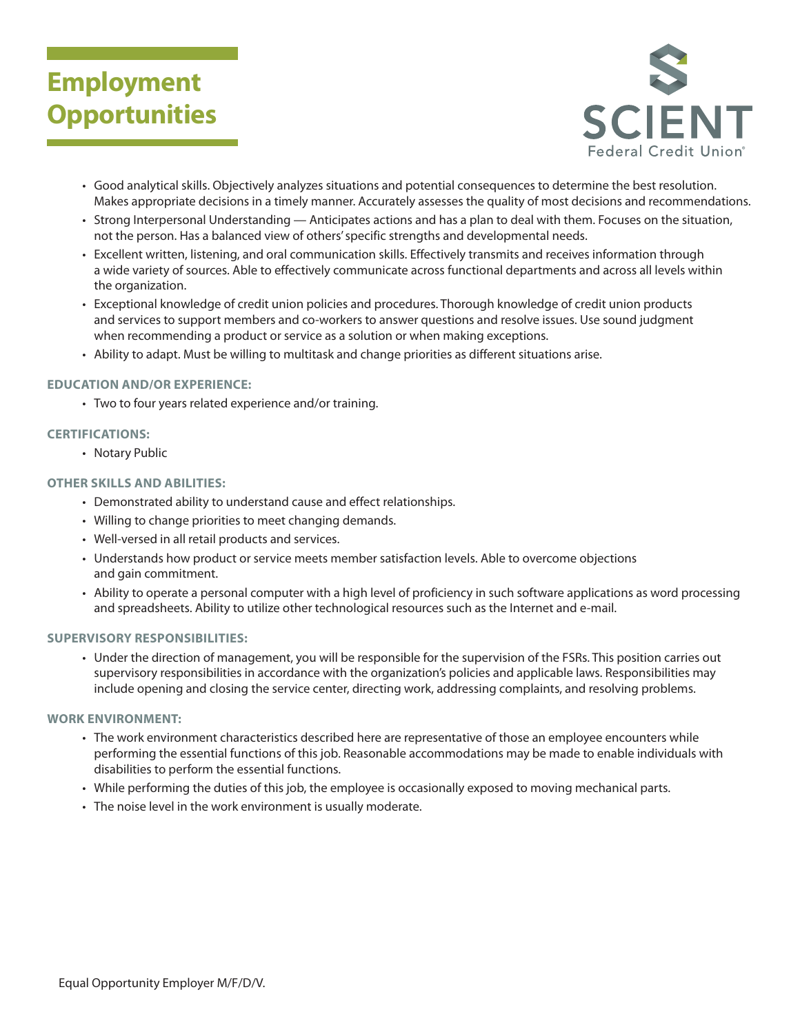# **Employment Opportunities**



- Good analytical skills. Objectively analyzes situations and potential consequences to determine the best resolution. Makes appropriate decisions in a timely manner. Accurately assesses the quality of most decisions and recommendations.
- Strong Interpersonal Understanding Anticipates actions and has a plan to deal with them. Focuses on the situation, not the person. Has a balanced view of others' specific strengths and developmental needs.
- Excellent written, listening, and oral communication skills. Effectively transmits and receives information through a wide variety of sources. Able to effectively communicate across functional departments and across all levels within the organization.
- Exceptional knowledge of credit union policies and procedures. Thorough knowledge of credit union products and services to support members and co-workers to answer questions and resolve issues. Use sound judgment when recommending a product or service as a solution or when making exceptions.
- Ability to adapt. Must be willing to multitask and change priorities as different situations arise.

#### **EDUCATION AND/OR EXPERIENCE:**

• Two to four years related experience and/or training.

### **CERTIFICATIONS:**

• Notary Public

#### **OTHER SKILLS AND ABILITIES:**

- Demonstrated ability to understand cause and effect relationships.
- Willing to change priorities to meet changing demands.
- Well-versed in all retail products and services.
- Understands how product or service meets member satisfaction levels. Able to overcome objections and gain commitment.
- Ability to operate a personal computer with a high level of proficiency in such software applications as word processing and spreadsheets. Ability to utilize other technological resources such as the Internet and e-mail.

#### **SUPERVISORY RESPONSIBILITIES:**

• Under the direction of management, you will be responsible for the supervision of the FSRs. This position carries out supervisory responsibilities in accordance with the organization's policies and applicable laws. Responsibilities may include opening and closing the service center, directing work, addressing complaints, and resolving problems.

#### **WORK ENVIRONMENT:**

- The work environment characteristics described here are representative of those an employee encounters while performing the essential functions of this job. Reasonable accommodations may be made to enable individuals with disabilities to perform the essential functions.
- While performing the duties of this job, the employee is occasionally exposed to moving mechanical parts.
- The noise level in the work environment is usually moderate.